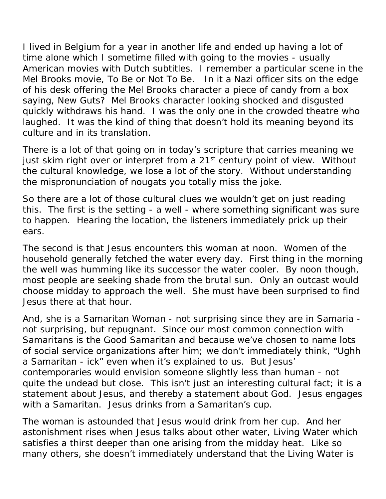I lived in Belgium for a year in another life and ended up having a lot of time alone which I sometime filled with going to the movies - usually American movies with Dutch subtitles. I remember a particular scene in the Mel Brooks movie, *To Be or Not To Be*. In it a Nazi officer sits on the edge of his desk offering the Mel Brooks character a piece of candy from a box saying, New Guts? Mel Brooks character looking shocked and disgusted quickly withdraws his hand. I was the only one in the crowded theatre who laughed. It was the kind of thing that doesn't hold its meaning beyond its culture and in its translation.

There is a lot of that going on in today's scripture that carries meaning we just skim right over or interpret from a 21<sup>st</sup> century point of view. Without the cultural knowledge, we lose a lot of the story. Without understanding the mispronunciation of nougats you totally miss the joke.

So there are a lot of those cultural clues we wouldn't get on just reading this. The first is the setting - a well - where something significant was sure to happen. Hearing the location, the listeners immediately prick up their ears.

The second is that Jesus encounters this woman at noon. Women of the household generally fetched the water every day. First thing in the morning the well was humming like its successor the water cooler. By noon though, most people are seeking shade from the brutal sun. Only an outcast would choose midday to approach the well. She must have been surprised to find Jesus there at that hour.

And, she is a Samaritan Woman - not surprising since they are in Samaria not surprising, but repugnant. Since our most common connection with Samaritans is the Good Samaritan and because we've chosen to name lots of social service organizations after him; we don't immediately think, "Ughh a Samaritan - ick" even when it's explained to us. But Jesus' contemporaries would envision someone slightly less than human - not quite the undead but close. This isn't just an interesting cultural fact; it is a statement about Jesus, and thereby a statement about God. Jesus engages with a Samaritan. Jesus drinks from a Samaritan's cup.

The woman is astounded that Jesus would drink from her cup. And her astonishment rises when Jesus talks about other water, Living Water which satisfies a thirst deeper than one arising from the midday heat. Like so many others, she doesn't immediately understand that the Living Water is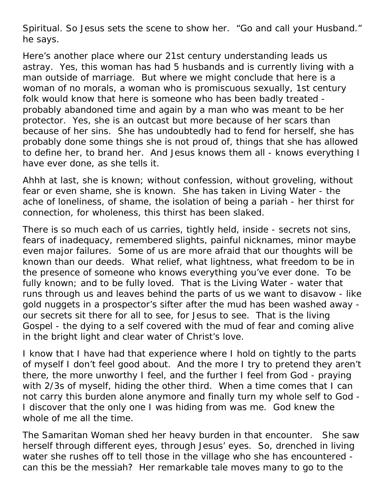Spiritual. So Jesus sets the scene to show her. "Go and call your Husband." he says.

Here's another place where our 21st century understanding leads us astray. Yes, this woman has had 5 husbands and is currently living with a man outside of marriage. But where we might conclude that here is a woman of no morals, a woman who is promiscuous sexually, 1st century folk would know that here is someone who has been badly treated probably abandoned time and again by a man who was meant to be her protector. Yes, she is an outcast but more because of her scars than because of her sins. She has undoubtedly had to fend for herself, she has probably done some things she is not proud of, things that she has allowed to define her, to brand her. And Jesus knows them all - knows everything I have ever done, as she tells it.

Ahhh at last, she is known; without confession, without groveling, without fear or even shame, she is known. She has taken in Living Water - the ache of loneliness, of shame, the isolation of being a pariah - her thirst for connection, for wholeness, this thirst has been slaked.

There is so much each of us carries, tightly held, inside - secrets not sins, fears of inadequacy, remembered slights, painful nicknames, minor maybe even major failures. Some of us are more afraid that our thoughts will be known than our deeds. What relief, what lightness, what freedom to be in the presence of someone who knows everything you've ever done. To be fully known; and to be fully loved. That is the Living Water - water that runs through us and leaves behind the parts of us we want to disavow - like gold nuggets in a prospector's sifter after the mud has been washed away our secrets sit there for all to see, for Jesus to see. That is the living Gospel - the dying to a self covered with the mud of fear and coming alive in the bright light and clear water of Christ's love.

I know that I have had that experience where I hold on tightly to the parts of myself I don't feel good about. And the more I try to pretend they aren't there, the more unworthy I feel, and the further I feel from God - praying with 2/3s of myself, hiding the other third. When a time comes that I can not carry this burden alone anymore and finally turn my whole self to God - I discover that the only one I was hiding from was me. God knew the whole of me all the time.

The Samaritan Woman shed her heavy burden in that encounter. She saw herself through different eyes, through Jesus' eyes. So, drenched in living water she rushes off to tell those in the village who she has encountered can this be the messiah? Her remarkable tale moves many to go to the